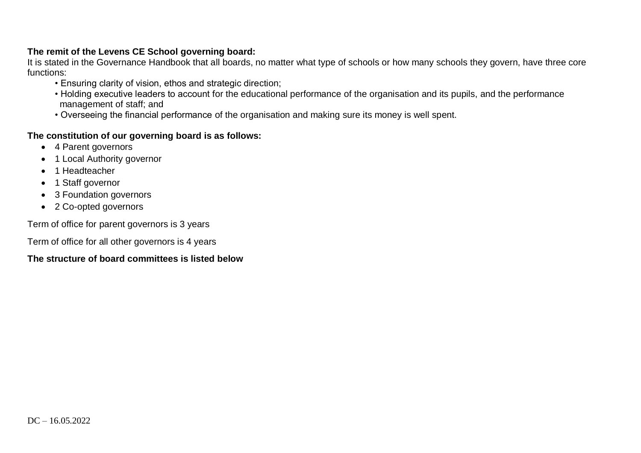#### **The remit of the Levens CE School governing board:**

It is stated in the Governance Handbook that all boards, no matter what type of schools or how many schools they govern, have three core functions:

- Ensuring clarity of vision, ethos and strategic direction;
- Holding executive leaders to account for the educational performance of the organisation and its pupils, and the performance management of staff; and
- Overseeing the financial performance of the organisation and making sure its money is well spent.

### **The constitution of our governing board is as follows:**

- 4 Parent governors
- 1 Local Authority governor
- 1 Headteacher
- 1 Staff governor
- 3 Foundation governors
- 2 Co-opted governors

Term of office for parent governors is 3 years

Term of office for all other governors is 4 years

### **The structure of board committees is listed below**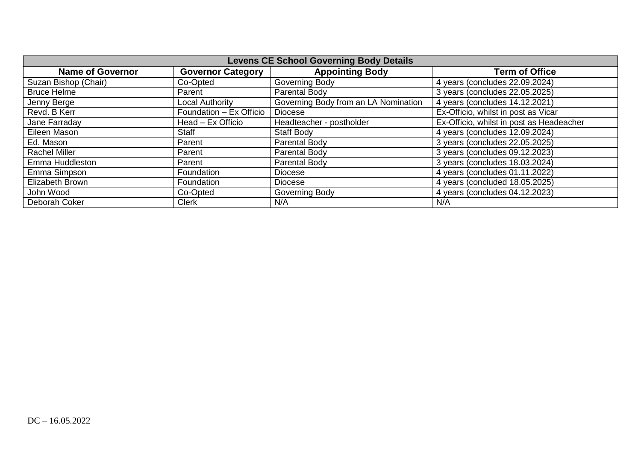| <b>Levens CE School Governing Body Details</b> |                          |                                      |                                          |  |  |  |  |  |  |
|------------------------------------------------|--------------------------|--------------------------------------|------------------------------------------|--|--|--|--|--|--|
| <b>Name of Governor</b>                        | <b>Governor Category</b> | <b>Appointing Body</b>               | <b>Term of Office</b>                    |  |  |  |  |  |  |
| Suzan Bishop (Chair)                           | Co-Opted                 | Governing Body                       | 4 years (concludes 22.09.2024)           |  |  |  |  |  |  |
| <b>Bruce Helme</b>                             | Parent                   | Parental Body                        | 3 years (concludes 22.05.2025)           |  |  |  |  |  |  |
| Jenny Berge                                    | Local Authority          | Governing Body from an LA Nomination | 4 years (concludes 14.12.2021)           |  |  |  |  |  |  |
| Revd. B Kerr                                   | Foundation - Ex Officio  | Diocese                              | Ex-Officio, whilst in post as Vicar      |  |  |  |  |  |  |
| Jane Farraday                                  | Head – Ex Officio        | Headteacher - postholder             | Ex-Officio, whilst in post as Headeacher |  |  |  |  |  |  |
| Eileen Mason                                   | <b>Staff</b>             | <b>Staff Body</b>                    | 4 years (concludes 12.09.2024)           |  |  |  |  |  |  |
| Ed. Mason                                      | Parent                   | Parental Body                        | 3 years (concludes 22.05.2025)           |  |  |  |  |  |  |
| <b>Rachel Miller</b>                           | Parent                   | Parental Body                        | 3 years (concludes 09.12.2023)           |  |  |  |  |  |  |
| Emma Huddleston                                | Parent                   | Parental Body                        | 3 years (concludes 18.03.2024)           |  |  |  |  |  |  |
| Emma Simpson                                   | Foundation               | Diocese                              | 4 years (concludes 01.11.2022)           |  |  |  |  |  |  |
| Elizabeth Brown                                | Foundation               | Diocese                              | 4 years (concluded 18.05.2025)           |  |  |  |  |  |  |
| John Wood                                      | Co-Opted                 | Governing Body                       | 4 years (concludes 04.12.2023)           |  |  |  |  |  |  |
| Deborah Coker                                  | <b>Clerk</b>             | N/A                                  | N/A                                      |  |  |  |  |  |  |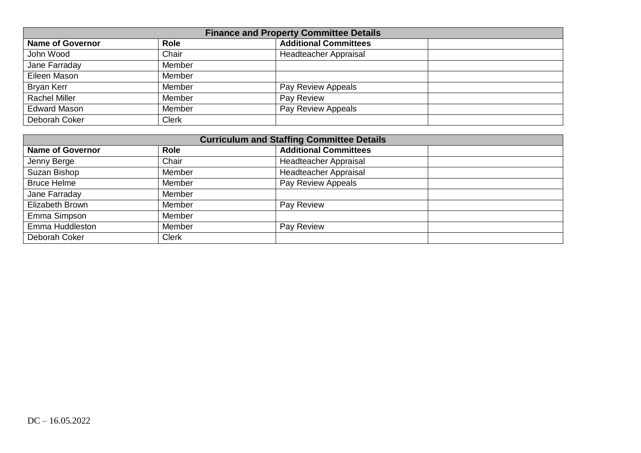| <b>Finance and Property Committee Details</b> |              |                              |  |  |  |  |  |  |
|-----------------------------------------------|--------------|------------------------------|--|--|--|--|--|--|
| <b>Name of Governor</b>                       | <b>Role</b>  | <b>Additional Committees</b> |  |  |  |  |  |  |
| John Wood                                     | Chair        | Headteacher Appraisal        |  |  |  |  |  |  |
| Jane Farraday                                 | Member       |                              |  |  |  |  |  |  |
| Eileen Mason                                  | Member       |                              |  |  |  |  |  |  |
| <b>Bryan Kerr</b>                             | Member       | Pay Review Appeals           |  |  |  |  |  |  |
| <b>Rachel Miller</b>                          | Member       | Pay Review                   |  |  |  |  |  |  |
| <b>Edward Mason</b>                           | Member       | Pay Review Appeals           |  |  |  |  |  |  |
| Deborah Coker                                 | <b>Clerk</b> |                              |  |  |  |  |  |  |

| <b>Curriculum and Staffing Committee Details</b> |              |                              |  |  |  |  |  |  |
|--------------------------------------------------|--------------|------------------------------|--|--|--|--|--|--|
| <b>Name of Governor</b>                          | <b>Role</b>  | <b>Additional Committees</b> |  |  |  |  |  |  |
| Jenny Berge                                      | Chair        | Headteacher Appraisal        |  |  |  |  |  |  |
| Suzan Bishop                                     | Member       | <b>Headteacher Appraisal</b> |  |  |  |  |  |  |
| <b>Bruce Helme</b>                               | Member       | Pay Review Appeals           |  |  |  |  |  |  |
| Jane Farraday                                    | Member       |                              |  |  |  |  |  |  |
| Elizabeth Brown                                  | Member       | Pay Review                   |  |  |  |  |  |  |
| Emma Simpson                                     | Member       |                              |  |  |  |  |  |  |
| Emma Huddleston                                  | Member       | Pay Review                   |  |  |  |  |  |  |
| Deborah Coker                                    | <b>Clerk</b> |                              |  |  |  |  |  |  |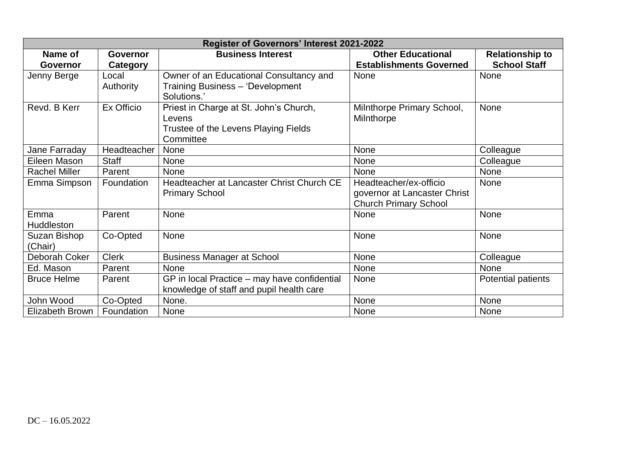|                      | Register of Governors' Interest 2021-2022 |                                              |                                |                           |  |  |  |  |  |  |
|----------------------|-------------------------------------------|----------------------------------------------|--------------------------------|---------------------------|--|--|--|--|--|--|
| Name of              | <b>Governor</b>                           | <b>Business Interest</b>                     | <b>Other Educational</b>       | <b>Relationship to</b>    |  |  |  |  |  |  |
| Governor             | Category                                  |                                              | <b>Establishments Governed</b> | <b>School Staff</b>       |  |  |  |  |  |  |
| Jenny Berge          | Local                                     | Owner of an Educational Consultancy and      | None                           | None                      |  |  |  |  |  |  |
|                      | Authority                                 | Training Business - 'Development             |                                |                           |  |  |  |  |  |  |
|                      |                                           | Solutions.'                                  |                                |                           |  |  |  |  |  |  |
| Revd. B Kerr         | Ex Officio                                | Priest in Charge at St. John's Church,       | Milnthorpe Primary School,     | None                      |  |  |  |  |  |  |
|                      |                                           | Levens                                       | Milnthorpe                     |                           |  |  |  |  |  |  |
|                      |                                           | Trustee of the Levens Playing Fields         |                                |                           |  |  |  |  |  |  |
|                      |                                           | Committee                                    |                                |                           |  |  |  |  |  |  |
| Jane Farraday        | Headteacher                               | None                                         | None                           | Colleague                 |  |  |  |  |  |  |
| Eileen Mason         | <b>Staff</b>                              | <b>None</b>                                  | None                           | Colleague                 |  |  |  |  |  |  |
| <b>Rachel Miller</b> | Parent                                    | <b>None</b>                                  | <b>None</b>                    | None                      |  |  |  |  |  |  |
| Emma Simpson         | Foundation                                | Headteacher at Lancaster Christ Church CE    | Headteacher/ex-officio         | <b>None</b>               |  |  |  |  |  |  |
|                      |                                           | <b>Primary School</b>                        | governor at Lancaster Christ   |                           |  |  |  |  |  |  |
|                      |                                           |                                              | <b>Church Primary School</b>   |                           |  |  |  |  |  |  |
| Emma                 | Parent                                    | <b>None</b>                                  | None                           | None                      |  |  |  |  |  |  |
| Huddleston           |                                           |                                              |                                |                           |  |  |  |  |  |  |
| Suzan Bishop         | Co-Opted                                  | None                                         | None                           | None                      |  |  |  |  |  |  |
| (Chair)              |                                           |                                              |                                |                           |  |  |  |  |  |  |
| Deborah Coker        | <b>Clerk</b>                              | <b>Business Manager at School</b>            | None                           | Colleague                 |  |  |  |  |  |  |
| Ed. Mason            | Parent                                    | None                                         | None                           | None                      |  |  |  |  |  |  |
| <b>Bruce Helme</b>   | Parent                                    | GP in local Practice - may have confidential | None                           | <b>Potential patients</b> |  |  |  |  |  |  |
|                      |                                           | knowledge of staff and pupil health care     |                                |                           |  |  |  |  |  |  |
| John Wood            | Co-Opted                                  | None.                                        | None                           | None                      |  |  |  |  |  |  |
| Elizabeth Brown      | Foundation                                | None                                         | <b>None</b>                    | None                      |  |  |  |  |  |  |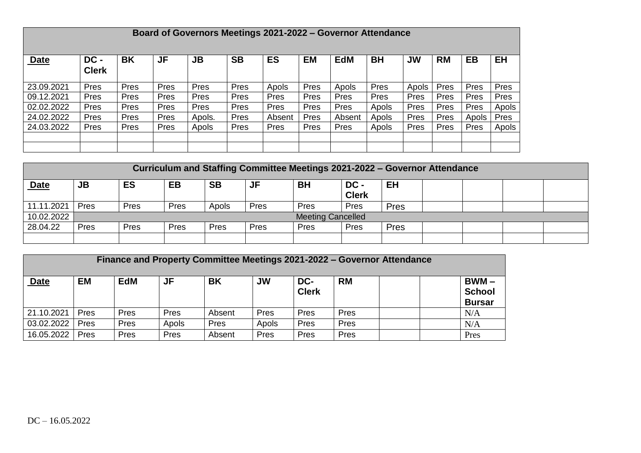|             | Board of Governors Meetings 2021-2022 – Governor Attendance |           |           |           |             |           |           |            |             |           |           |           |           |
|-------------|-------------------------------------------------------------|-----------|-----------|-----------|-------------|-----------|-----------|------------|-------------|-----------|-----------|-----------|-----------|
| <b>Date</b> | DC -<br><b>Clerk</b>                                        | <b>BK</b> | <b>JF</b> | <b>JB</b> | <b>SB</b>   | <b>ES</b> | <b>EM</b> | <b>EdM</b> | <b>BH</b>   | <b>JW</b> | <b>RM</b> | <b>EB</b> | <b>EH</b> |
| 23.09.2021  | Pres                                                        | Pres      | Pres      | Pres      | Pres        | Apols     | Pres      | Apols      | <b>Pres</b> | Apols     | Pres      | Pres      | Pres      |
| 09.12.2021  | Pres                                                        | Pres      | Pres      | Pres      | Pres        | Pres      | Pres      | Pres       | <b>Pres</b> | Pres      | Pres      | Pres      | Pres      |
| 02.02.2022  | Pres                                                        | Pres      | Pres      | Pres      | Pres        | Pres      | Pres      | Pres       | Apols       | Pres      | Pres      | Pres      | Apols     |
| 24.02.2022  | Pres                                                        | Pres      | Pres      | Apols.    | Pres        | Absent    | Pres      | Absent     | Apols       | Pres      | Pres      | Apols     | Pres      |
| 24.03.2022  | Pres                                                        | Pres      | Pres      | Apols     | <b>Pres</b> | Pres      | Pres      | Pres       | Apols       | Pres      | Pres      | Pres      | Apols     |
|             |                                                             |           |           |           |             |           |           |            |             |           |           |           |           |
|             |                                                             |           |           |           |             |           |           |            |             |           |           |           |           |

|             | Curriculum and Staffing Committee Meetings 2021-2022 - Governor Attendance |      |      |           |      |                          |                      |             |  |  |  |
|-------------|----------------------------------------------------------------------------|------|------|-----------|------|--------------------------|----------------------|-------------|--|--|--|
| <b>Date</b> | JB                                                                         | ES   | EB   | <b>SB</b> | JF   | BH                       | DC -<br><b>Clerk</b> | EH          |  |  |  |
| 11.11.2021  | Pres                                                                       | Pres | Pres | Apols     | Pres | Pres                     | Pres                 | <b>Pres</b> |  |  |  |
| 10.02.2022  |                                                                            |      |      |           |      | <b>Meeting Cancelled</b> |                      |             |  |  |  |
| 28.04.22    | Pres                                                                       | Pres | Pres | Pres      | Pres | <b>Pres</b>              | Pres                 | Pres        |  |  |  |
|             |                                                                            |      |      |           |      |                          |                      |             |  |  |  |

|             | Finance and Property Committee Meetings 2021-2022 – Governor Attendance |            |       |           |           |                     |           |  |                                           |
|-------------|-------------------------------------------------------------------------|------------|-------|-----------|-----------|---------------------|-----------|--|-------------------------------------------|
| <b>Date</b> | <b>EM</b>                                                               | <b>EdM</b> | JF    | <b>BK</b> | <b>JW</b> | DC-<br><b>Clerk</b> | <b>RM</b> |  | $BWM -$<br><b>School</b><br><b>Bursar</b> |
| 21.10.2021  | Pres                                                                    | Pres       | Pres  | Absent    | Pres      | Pres                | Pres      |  | N/A                                       |
| 03.02.2022  | Pres                                                                    | Pres       | Apols | Pres      | Apols     | Pres                | Pres      |  | N/A                                       |
| 16.05.2022  | Pres                                                                    | Pres       | Pres  | Absent    | Pres      | Pres                | Pres      |  | Pres                                      |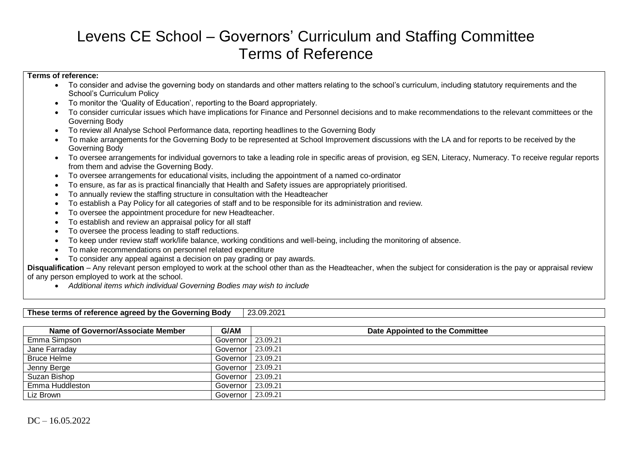# Levens CE School – Governors' Curriculum and Staffing Committee Terms of Reference

#### **Terms of reference:**

- To consider and advise the governing body on standards and other matters relating to the school's curriculum, including statutory requirements and the School's Curriculum Policy
- To monitor the 'Quality of Education', reporting to the Board appropriately.
- To consider curricular issues which have implications for Finance and Personnel decisions and to make recommendations to the relevant committees or the Governing Body
- To review all Analyse School Performance data, reporting headlines to the Governing Body
- To make arrangements for the Governing Body to be represented at School Improvement discussions with the LA and for reports to be received by the Governing Body
- To oversee arrangements for individual governors to take a leading role in specific areas of provision, eg SEN, Literacy, Numeracy. To receive regular reports from them and advise the Governing Body.
- To oversee arrangements for educational visits, including the appointment of a named co-ordinator
- To ensure, as far as is practical financially that Health and Safety issues are appropriately prioritised.
- To annually review the staffing structure in consultation with the Headteacher
- To establish a Pay Policy for all categories of staff and to be responsible for its administration and review.
- To oversee the appointment procedure for new Headteacher.
- To establish and review an appraisal policy for all staff
- To oversee the process leading to staff reductions.
- To keep under review staff work/life balance, working conditions and well-being, including the monitoring of absence.
- To make recommendations on personnel related expenditure
- To consider any appeal against a decision on pay grading or pay awards.

**Disqualification** – Any relevant person employed to work at the school other than as the Headteacher, when the subject for consideration is the pay or appraisal review of any person employed to work at the school.

*Additional items which individual Governing Bodies may wish to include*

| These terms of reference agreed by the Governing Body<br>23.09.2021 |            |                                 |  |  |  |  |  |  |
|---------------------------------------------------------------------|------------|---------------------------------|--|--|--|--|--|--|
|                                                                     |            |                                 |  |  |  |  |  |  |
| Name of Governor/Associate Member                                   | G/AM       | Date Appointed to the Committee |  |  |  |  |  |  |
| Emma Simpson                                                        | Governor   | 23.09.21                        |  |  |  |  |  |  |
| Jane Farraday                                                       | Governor I | 23.09.21                        |  |  |  |  |  |  |
| <b>Bruce Helme</b>                                                  | Governor I | 23.09.21                        |  |  |  |  |  |  |
| Jenny Berge                                                         | Governor I | 23.09.21                        |  |  |  |  |  |  |
| Suzan Bishop                                                        | Governor I | 23.09.21                        |  |  |  |  |  |  |
| Emma Huddleston                                                     | Governor I | 23.09.21                        |  |  |  |  |  |  |
| Liz Brown                                                           | Governor   | 23.09.21                        |  |  |  |  |  |  |

**These terms of reference agreed by the Governing Body | 23.09.2021**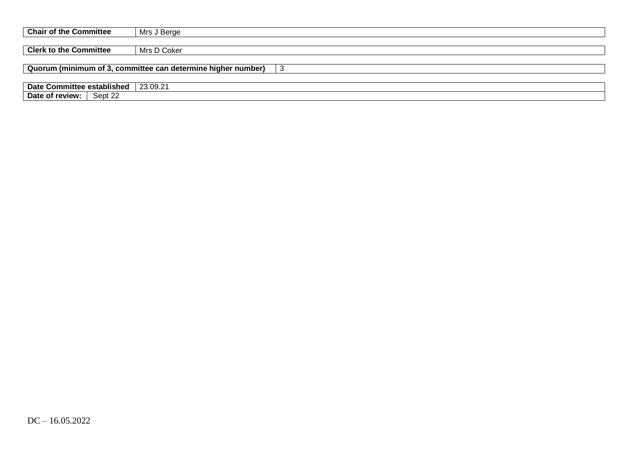| <b>Chair of the Committee</b> | Mrs J Berge                                                         |
|-------------------------------|---------------------------------------------------------------------|
|                               |                                                                     |
| <b>Clerk to the Committee</b> | Mrs D Coker                                                         |
|                               |                                                                     |
|                               | Quorum (minimum of 3, committee can determine higher number)<br>l 3 |
|                               |                                                                     |
| Date Committee established    | 23.09.21                                                            |
| Date of review:  <br>Sept 22  |                                                                     |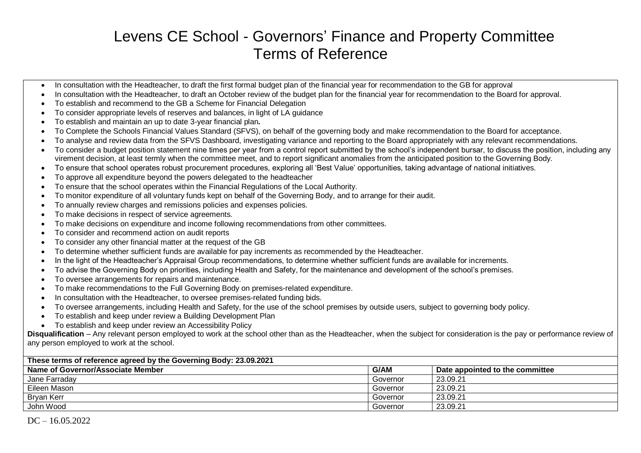# Levens CE School - Governors' Finance and Property Committee Terms of Reference

- In consultation with the Headteacher, to draft the first formal budget plan of the financial year for recommendation to the GB for approval
- In consultation with the Headteacher, to draft an October review of the budget plan for the financial year for recommendation to the Board for approval.
- To establish and recommend to the GB a Scheme for Financial Delegation
- To consider appropriate levels of reserves and balances, in light of LA guidance
- To establish and maintain an up to date 3-year financial plan*.*
- To Complete the Schools Financial Values Standard (SFVS), on behalf of the governing body and make recommendation to the Board for acceptance.
- To analyse and review data from the SFVS Dashboard, investigating variance and reporting to the Board appropriately with any relevant recommendations.
- To consider a budget position statement nine times per year from a control report submitted by the school's independent bursar, to discuss the position, including any virement decision, at least termly when the committee meet, and to report significant anomalies from the anticipated position to the Governing Body.
- To ensure that school operates robust procurement procedures, exploring all 'Best Value' opportunities, taking advantage of national initiatives.
- To approve all expenditure beyond the powers delegated to the headteacher
- To ensure that the school operates within the Financial Regulations of the Local Authority.
- To monitor expenditure of all voluntary funds kept on behalf of the Governing Body, and to arrange for their audit.
- To annually review charges and remissions policies and expenses policies.
- To make decisions in respect of service agreements.
- To make decisions on expenditure and income following recommendations from other committees.
- To consider and recommend action on audit reports
- To consider any other financial matter at the request of the GB
- To determine whether sufficient funds are available for pay increments as recommended by the Headteacher.
- In the light of the Headteacher's Appraisal Group recommendations, to determine whether sufficient funds are available for increments.
- To advise the Governing Body on priorities, including Health and Safety, for the maintenance and development of the school's premises.
- To oversee arrangements for repairs and maintenance.
- To make recommendations to the Full Governing Body on premises-related expenditure.
- In consultation with the Headteacher, to oversee premises-related funding bids.
- To oversee arrangements, including Health and Safety, for the use of the school premises by outside users, subject to governing body policy.
- To establish and keep under review a Building Development Plan
- To establish and keep under review an Accessibility Policy

**Disqualification** – Any relevant person employed to work at the school other than as the Headteacher, when the subject for consideration is the pay or performance review of any person employed to work at the school.

| These terms of reference agreed by the Governing Body: 23.09.2021 |             |                                 |  |  |  |  |  |
|-------------------------------------------------------------------|-------------|---------------------------------|--|--|--|--|--|
| Name of Governor/Associate Member                                 | <b>G/AM</b> | Date appointed to the committee |  |  |  |  |  |
| Jane Farraday                                                     | Governor    | 23.09.21                        |  |  |  |  |  |
| Eileen Mason                                                      | Governor    | 23.09.21                        |  |  |  |  |  |
| Bryan Kerr                                                        | Governor    | 23.09.21                        |  |  |  |  |  |
| John Wood                                                         | Governor    | 23.09.21                        |  |  |  |  |  |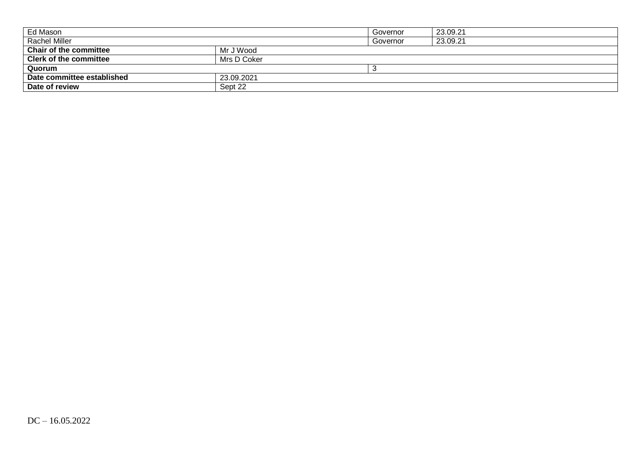| Ed Mason                      |             | Governor | 23.09.21 |
|-------------------------------|-------------|----------|----------|
| <b>Rachel Miller</b>          |             | Governor | 23.09.21 |
| <b>Chair of the committee</b> | Mr J Wood   |          |          |
| <b>Clerk of the committee</b> | Mrs D Coker |          |          |
| Quorum                        |             |          |          |
| Date committee established    | 23.09.2021  |          |          |
| Date of review                | Sept 22     |          |          |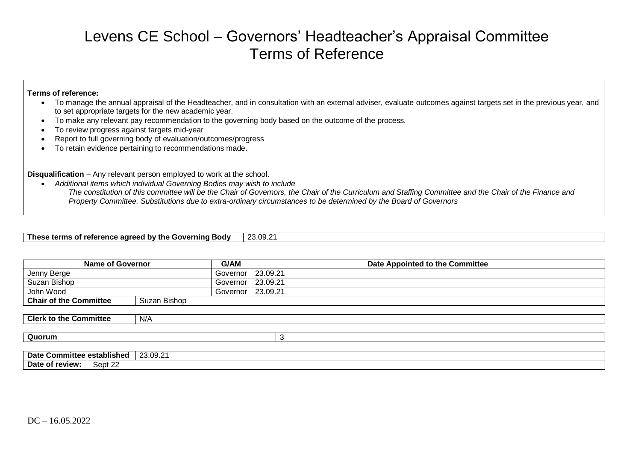# Levens CE School – Governors' Headteacher's Appraisal Committee Terms of Reference

#### **Terms of reference:**

- To manage the annual appraisal of the Headteacher, and in consultation with an external adviser, evaluate outcomes against targets set in the previous year, and to set appropriate targets for the new academic year.
- To make any relevant pay recommendation to the governing body based on the outcome of the process.
- To review progress against targets mid-year
- Report to full governing body of evaluation/outcomes/progress
- To retain evidence pertaining to recommendations made.

**Disqualification** – Any relevant person employed to work at the school.

 *Additional items which individual Governing Bodies may wish to include The constitution of this committee will be the Chair of Governors, the Chair of the Curriculum and Staffing Committee and the Chair of the Finance and Property Committee. Substitutions due to extra-ordinary circumstances to be determined by the Board of Governors*

**These terms of reference agreed by the Governing Body** 23.09.21

| <b>Name of Governor</b>       | G/AM         |                     | Date Appointed to the Committee |
|-------------------------------|--------------|---------------------|---------------------------------|
| Jenny Berge                   | Governor     | 23.09.21            |                                 |
| Suzan Bishop                  | Governor     | 23.09.21            |                                 |
| John Wood                     |              | Governor   23.09.21 |                                 |
| <b>Chair of the Committee</b> | Suzan Bishop |                     |                                 |
|                               |              |                     |                                 |
| <b>Clerk to the Committee</b> | N/A          |                     |                                 |
|                               |              |                     |                                 |
| Quorum                        |              |                     |                                 |
|                               |              |                     |                                 |

| .<br>Date<br>Committee<br>establish<br>. | 23.09.21<br>co. |
|------------------------------------------|-----------------|
| Sept 22<br>Date<br>review:               |                 |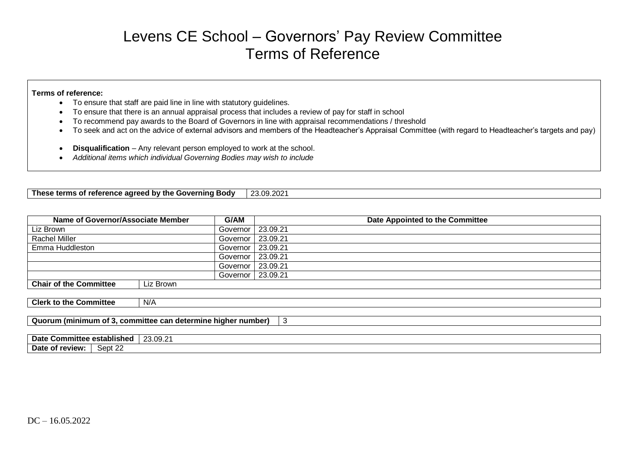## Levens CE School – Governors' Pay Review Committee Terms of Reference

#### **Terms of reference:**

- To ensure that staff are paid line in line with statutory guidelines.
- To ensure that there is an annual appraisal process that includes a review of pay for staff in school
- To recommend pay awards to the Board of Governors in line with appraisal recommendations / threshold
- To seek and act on the advice of external advisors and members of the Headteacher's Appraisal Committee (with regard to Headteacher's targets and pay)
- **Disqualification** Any relevant person employed to work at the school.
- *Additional items which individual Governing Bodies may wish to include*

| <b>Body</b><br>e agreed by the<br>reference<br><b>ioverninc</b><br>These terms<br>ΩT<br>ww | $\sim$<br>. ∩q∴<br>ററ<br>.<br>LU.UJ.LU |
|--------------------------------------------------------------------------------------------|----------------------------------------|

| Name of Governor/Associate Member<br>G/AM                          |           |            | Date Appointed to the Committee |  |  |  |
|--------------------------------------------------------------------|-----------|------------|---------------------------------|--|--|--|
| Liz Brown                                                          |           | Governor   | 23.09.21                        |  |  |  |
| <b>Rachel Miller</b>                                               |           | Governor   | 23.09.21                        |  |  |  |
| Emma Huddleston                                                    |           | Governor   | 23.09.21                        |  |  |  |
|                                                                    |           | Governor   | 23.09.21                        |  |  |  |
|                                                                    |           | Governor   | 23.09.21                        |  |  |  |
|                                                                    |           | Governor I | 23.09.21                        |  |  |  |
| <b>Chair of the Committee</b>                                      | Liz Brown |            |                                 |  |  |  |
|                                                                    |           |            |                                 |  |  |  |
| <b>Clerk to the Committee</b>                                      | N/A       |            |                                 |  |  |  |
|                                                                    |           |            |                                 |  |  |  |
| Quorum (minimum of 3, committee can determine higher number)<br>-3 |           |            |                                 |  |  |  |
|                                                                    |           |            |                                 |  |  |  |
| Date Committee established<br>23.09.21                             |           |            |                                 |  |  |  |

**Date of review:** Sept 22